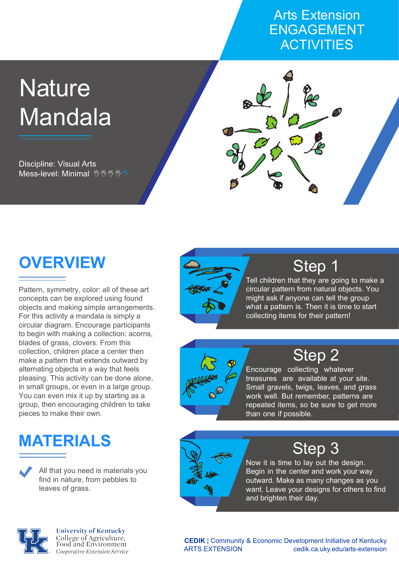#### Arts Extension ENGAGEMENT **ACTIVITIES**

# **Nature** Mandala

Discipline: Visual Arts Mess-level: Minimal <sup>%, %</sup> <sup>%</sup> <sup>%</sup>



Pattern, symmetry, color: all of these art concepts can be explored using found objects and making simple arrangements. For this activity a mandala is simply a circular diagram. Encourage participants to begin with making a collection: acorns, blades of grass, clovers. From this collection, children place a center then make a pattern that extends outward by alternating objects in a way that feels pleasing. This activity can be done alone, in small groups, or even in a large group. You can even mix it up by starting as a group, then encouraging children to take pieces to make their own.

# **MATERIALS**

All that you need is materials you find in nature, from pebbles to leaves of grass.



## Step 1

Tell children that they are going to make a circular pattern from natural objects. You might ask if anyone can tell the group what a pattern is. Then it is time to start collecting items for their pattern!



# Step 2

Encourage collecting whatever treasures are available at your site. Small gravels, twigs, leaves, and grass work well. But remember, patterns are repeated items, so be sure to get more than one if possible.



### Step 3

Now it is time to lay out the design. Begin in the center and work your way outward. Make as many changes as you want. Leave your designs for others to find and brighten their day.



**University of Kentucky** College of Agriculture,<br>Food and Environment Cooperative Extension Service

**CEDIK** | Community & Economic Development Initiative of Kentucky ARTS EXTENSION cedik.ca.uky.edu/arts-extension